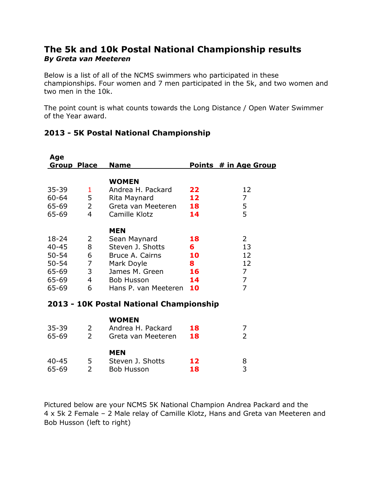## **The 5k and 10k Postal National Championship results**  *By Greta van Meeteren*

Below is a list of all of the NCMS swimmers who participated in these championships. Four women and 7 men participated in the 5k, and two women and two men in the 10k.

The point count is what counts towards the Long Distance / Open Water Swimmer of the Year award.

| Age                                                                         |                                                           |                                                                                                                                                |                                      |                                                                           |
|-----------------------------------------------------------------------------|-----------------------------------------------------------|------------------------------------------------------------------------------------------------------------------------------------------------|--------------------------------------|---------------------------------------------------------------------------|
| <b>Group Place</b>                                                          |                                                           | <b>Name</b>                                                                                                                                    |                                      | Points # in Age Group                                                     |
| $35 - 39$<br>$60 - 64$<br>65-69<br>65-69                                    | 1<br>5<br>$\overline{2}$<br>$\overline{4}$                | <b>WOMEN</b><br>Andrea H. Packard<br>Rita Maynard<br>Greta van Meeteren<br>Camille Klotz                                                       | 22<br>12<br>18<br>14                 | 12<br>$\overline{7}$<br>5<br>5                                            |
| $18 - 24$<br>$40 - 45$<br>$50 - 54$<br>$50 - 54$<br>65-69<br>65-69<br>65-69 | 2<br>8<br>6<br>$\overline{7}$<br>3<br>$\overline{4}$<br>6 | <b>MEN</b><br>Sean Maynard<br>Steven J. Shotts<br>Bruce A. Cairns<br>Mark Doyle<br>James M. Green<br><b>Bob Husson</b><br>Hans P. van Meeteren | 18<br>6<br>10<br>8<br>16<br>14<br>10 | 2<br>13<br>12<br>12<br>$\overline{7}$<br>$\overline{7}$<br>$\overline{7}$ |
| 2013 - 10K Postal National Championship                                     |                                                           |                                                                                                                                                |                                      |                                                                           |
| $35 - 39$<br>65-69                                                          | 2<br>$\overline{2}$                                       | <b>WOMEN</b><br>Andrea H. Packard<br>Greta van Meeteren                                                                                        | 18<br>18                             | 7<br>$\overline{2}$                                                       |
| $40 - 45$<br>65-69                                                          | 5<br>$\overline{2}$                                       | <b>MEN</b><br>Steven J. Shotts<br><b>Bob Husson</b>                                                                                            | 12<br>18                             | 8<br>3                                                                    |

## **2013 - 5K Postal National Championship**

Pictured below are your NCMS 5K National Champion Andrea Packard and the 4 x 5k 2 Female – 2 Male relay of Camille Klotz, Hans and Greta van Meeteren and Bob Husson (left to right)